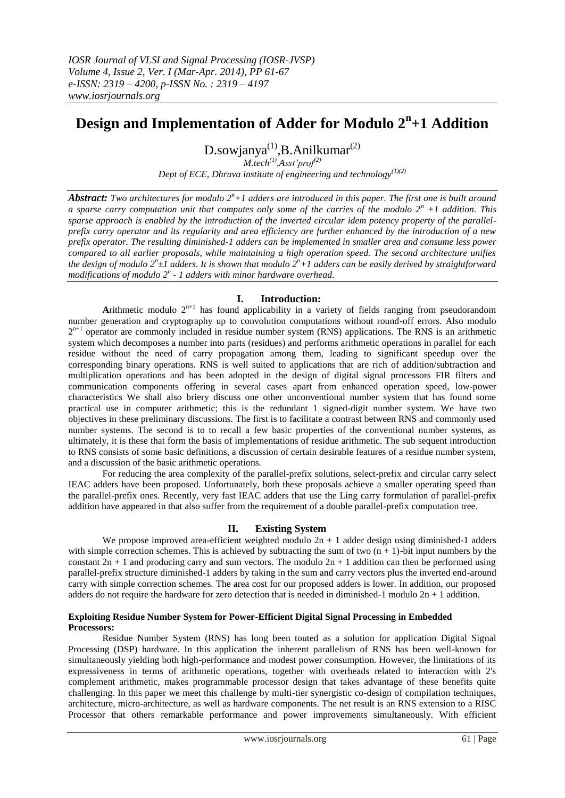# **Design and Implementation of Adder for Modulo 2<sup>n</sup> +1 Addition**

D.sowjanya<sup>(1)</sup>, B. Anilkumar<sup>(2)</sup> *M.tech(1) ,Asst'prof(2)*

*Dept of ECE, Dhruva institute of engineering and technology(1)(2)*

*Abstract: Two architectures for modulo 2<sup>n</sup>+1 adders are introduced in this paper. The first one is built around a sparse carry computation unit that computes only some of the carries of the modulo 2<sup>n</sup> +1 addition. This sparse approach is enabled by the introduction of the inverted circular idem potency property of the parallelprefix carry operator and its regularity and area efficiency are further enhanced by the introduction of a new prefix operator. The resulting diminished-1 adders can be implemented in smaller area and consume less power compared to all earlier proposals, while maintaining a high operation speed. The second architecture unifies the design of modulo 2<sup>n</sup> ±1 adders. It is shown that modulo 2<sup>n</sup>+1 adders can be easily derived by straightforward modifications of modulo 2<sup>n</sup> - 1 adders with minor hardware overhead.*

# **I. Introduction:**

Arithmetic modulo  $2^{n+1}$  has found applicability in a variety of fields ranging from pseudorandom number generation and cryptography up to convolution computations without round-off errors. Also modulo  $2^{n+1}$  operator are commonly included in residue number system (RNS) applications. The RNS is an arithmetic system which decomposes a number into parts (residues) and performs arithmetic operations in parallel for each residue without the need of carry propagation among them, leading to significant speedup over the corresponding binary operations. RNS is well suited to applications that are rich of addition/subtraction and multiplication operations and has been adopted in the design of digital signal processors FIR filters and communication components offering in several cases apart from enhanced operation speed, low-power characteristics We shall also briery discuss one other unconventional number system that has found some practical use in computer arithmetic; this is the redundant 1 signed-digit number system. We have two objectives in these preliminary discussions. The first is to facilitate a contrast between RNS and commonly used number systems. The second is to to recall a few basic properties of the conventional number systems, as ultimately, it is these that form the basis of implementations of residue arithmetic. The sub sequent introduction to RNS consists of some basic definitions, a discussion of certain desirable features of a residue number system, and a discussion of the basic arithmetic operations.

For reducing the area complexity of the parallel-prefix solutions, select-prefix and circular carry select IEAC adders have been proposed. Unfortunately, both these proposals achieve a smaller operating speed than the parallel-prefix ones. Recently, very fast IEAC adders that use the Ling carry formulation of parallel-prefix addition have appeared in that also suffer from the requirement of a double parallel-prefix computation tree.

# **II. Existing System**

We propose improved area-efficient weighted modulo  $2n + 1$  adder design using diminished-1 adders with simple correction schemes. This is achieved by subtracting the sum of two  $(n + 1)$ -bit input numbers by the constant  $2n + 1$  and producing carry and sum vectors. The modulo  $2n + 1$  addition can then be performed using parallel-prefix structure diminished-1 adders by taking in the sum and carry vectors plus the inverted end-around carry with simple correction schemes. The area cost for our proposed adders is lower. In addition, our proposed adders do not require the hardware for zero detection that is needed in diminished-1 modulo  $2n + 1$  addition.

## **Exploiting Residue Number System for Power-Efficient Digital Signal Processing in Embedded Processors:**

Residue Number System (RNS) has long been touted as a solution for application Digital Signal Processing (DSP) hardware. In this application the inherent parallelism of RNS has been well-known for simultaneously yielding both high-performance and modest power consumption. However, the limitations of its expressiveness in terms of arithmetic operations, together with overheads related to interaction with 2's complement arithmetic, makes programmable processor design that takes advantage of these benefits quite challenging. In this paper we meet this challenge by multi-tier synergistic co-design of compilation techniques, architecture, micro-architecture, as well as hardware components. The net result is an RNS extension to a RISC Processor that others remarkable performance and power improvements simultaneously. With efficient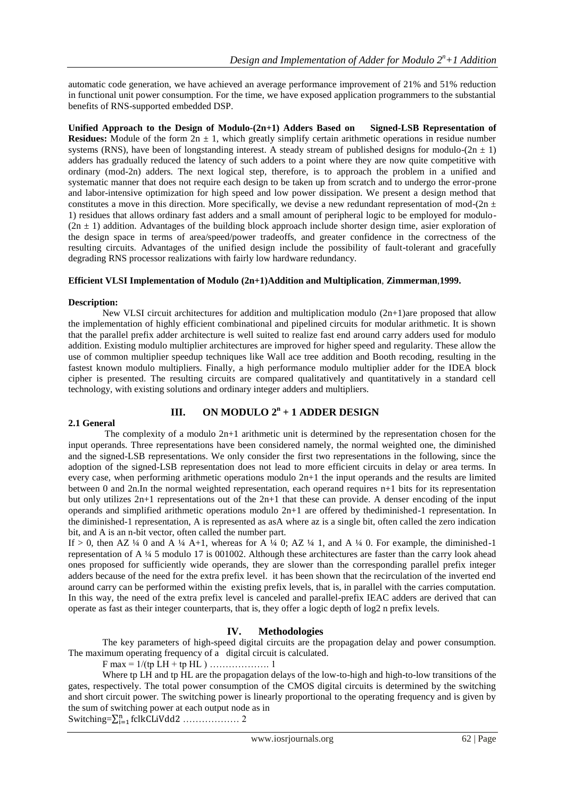automatic code generation, we have achieved an average performance improvement of 21% and 51% reduction in functional unit power consumption. For the time, we have exposed application programmers to the substantial benefits of RNS-supported embedded DSP.

**Unified Approach to the Design of Modulo-(2n+1) Adders Based on Signed-LSB Representation of Residues:** Module of the form  $2n \pm 1$ , which greatly simplify certain arithmetic operations in residue number systems (RNS), have been of longstanding interest. A steady stream of published designs for modulo- $(2n \pm 1)$ adders has gradually reduced the latency of such adders to a point where they are now quite competitive with ordinary (mod-2n) adders. The next logical step, therefore, is to approach the problem in a unified and systematic manner that does not require each design to be taken up from scratch and to undergo the error-prone and labor-intensive optimization for high speed and low power dissipation. We present a design method that constitutes a move in this direction. More specifically, we devise a new redundant representation of mod- $(2n \pm 1)$ 1) residues that allows ordinary fast adders and a small amount of peripheral logic to be employed for modulo-  $(2n \pm 1)$  addition. Advantages of the building block approach include shorter design time, asier exploration of the design space in terms of area/speed/power tradeoffs, and greater confidence in the correctness of the resulting circuits. Advantages of the unified design include the possibility of fault-tolerant and gracefully degrading RNS processor realizations with fairly low hardware redundancy.

#### **Efficient VLSI Implementation of Modulo (2n+1)Addition and Multiplication**, **Zimmerman**,**1999.**

#### **Description:**

New VLSI circuit architectures for addition and multiplication modulo (2n+1)are proposed that allow the implementation of highly efficient combinational and pipelined circuits for modular arithmetic. It is shown that the parallel prefix adder architecture is well suited to realize fast end around carry adders used for modulo addition. Existing modulo multiplier architectures are improved for higher speed and regularity. These allow the use of common multiplier speedup techniques like Wall ace tree addition and Booth recoding, resulting in the fastest known modulo multipliers. Finally, a high performance modulo multiplier adder for the IDEA block cipher is presented. The resulting circuits are compared qualitatively and quantitatively in a standard cell technology, with existing solutions and ordinary integer adders and multipliers.

# **III.** ON MODULO  $2^n + 1$  ADDER DESIGN

#### **2.1 General**

The complexity of a modulo  $2n+1$  arithmetic unit is determined by the representation chosen for the input operands. Three representations have been considered namely, the normal weighted one, the diminished and the signed-LSB representations. We only consider the first two representations in the following, since the adoption of the signed-LSB representation does not lead to more efficient circuits in delay or area terms. In every case, when performing arithmetic operations modulo 2n+1 the input operands and the results are limited between 0 and 2n.In the normal weighted representation, each operand requires n+1 bits for its representation but only utilizes 2n+1 representations out of the 2n+1 that these can provide. A denser encoding of the input operands and simplified arithmetic operations modulo 2n+1 are offered by thediminished-1 representation. In the diminished-1 representation, A is represented as asA where az is a single bit, often called the zero indication bit, and A is an n-bit vector, often called the number part.

If > 0, then AZ ¼ 0 and A ¼ A+1, whereas for A ¼ 0; AZ ¼ 1, and A ¼ 0. For example, the diminished-1 representation of A ¼ 5 modulo 17 is 001002. Although these architectures are faster than the carry look ahead ones proposed for sufficiently wide operands, they are slower than the corresponding parallel prefix integer adders because of the need for the extra prefix level. it has been shown that the recirculation of the inverted end around carry can be performed within the existing prefix levels, that is, in parallel with the carries computation. In this way, the need of the extra prefix level is canceled and parallel-prefix IEAC adders are derived that can operate as fast as their integer counterparts, that is, they offer a logic depth of log2 n prefix levels.

# **IV. Methodologies**

The key parameters of high-speed digital circuits are the propagation delay and power consumption. The maximum operating frequency of a digital circuit is calculated.

F max = 1/(tp LH + tp HL ) ………………. 1

Where tp LH and tp HL are the propagation delays of the low-to-high and high-to-low transitions of the gates, respectively. The total power consumption of the CMOS digital circuits is determined by the switching and short circuit power. The switching power is linearly proportional to the operating frequency and is given by the sum of switching power at each output node as in Switching=∑ ……………… 2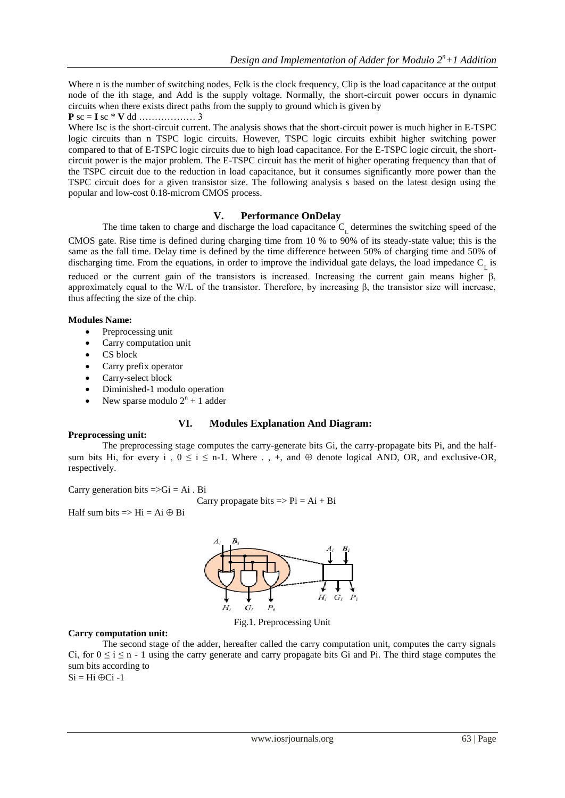Where n is the number of switching nodes, Fclk is the clock frequency, Clip is the load capacitance at the output node of the ith stage, and Add is the supply voltage. Normally, the short-circuit power occurs in dynamic circuits when there exists direct paths from the supply to ground which is given by

**P** sc = **I** sc \* **V** dd ……………… 3

Where Isc is the short-circuit current. The analysis shows that the short-circuit power is much higher in E-TSPC logic circuits than n TSPC logic circuits. However, TSPC logic circuits exhibit higher switching power compared to that of E-TSPC logic circuits due to high load capacitance. For the E-TSPC logic circuit, the shortcircuit power is the major problem. The E-TSPC circuit has the merit of higher operating frequency than that of the TSPC circuit due to the reduction in load capacitance, but it consumes significantly more power than the TSPC circuit does for a given transistor size. The following analysis s based on the latest design using the popular and low-cost 0.18-microm CMOS process.

# **V. Performance OnDelay**

The time taken to charge and discharge the load capacitance  $C_{L}$  determines the switching speed of the CMOS gate. Rise time is defined during charging time from 10 % to 90% of its steady-state value; this is the same as the fall time. Delay time is defined by the time difference between 50% of charging time and 50% of discharging time. From the equations, in order to improve the individual gate delays, the load impedance  $C_{\rm L}$  is reduced or the current gain of the transistors is increased. Increasing the current gain means higher β, approximately equal to the W/L of the transistor. Therefore, by increasing β, the transistor size will increase, thus affecting the size of the chip.

## **Modules Name:**

- Preprocessing unit
- Carry computation unit
- CS block
- Carry prefix operator
- Carry-select block
- Diminished-1 modulo operation
- New sparse modulo  $2^n + 1$  adder

# **VI. Modules Explanation And Diagram:**

# **Preprocessing unit:**

The preprocessing stage computes the carry-generate bits Gi, the carry-propagate bits Pi, and the halfsum bits Hi, for every i ,  $0 \le i \le n-1$ . Where . , +, and  $\oplus$  denote logical AND, OR, and exclusive-OR, respectively.

Carry generation bits  $=\neg Gi = Ai$ . Bi

Carry propagate bits  $\Rightarrow$  Pi = Ai + Bi

Half sum bits  $\Rightarrow$  Hi = Ai  $\oplus$  Bi



Fig.1. Preprocessing Unit

# **Carry computation unit:**

The second stage of the adder, hereafter called the carry computation unit, computes the carry signals Ci, for  $0 \le i \le n - 1$  using the carry generate and carry propagate bits Gi and Pi. The third stage computes the sum bits according to

 $Si = Hi \oplus Ci -1$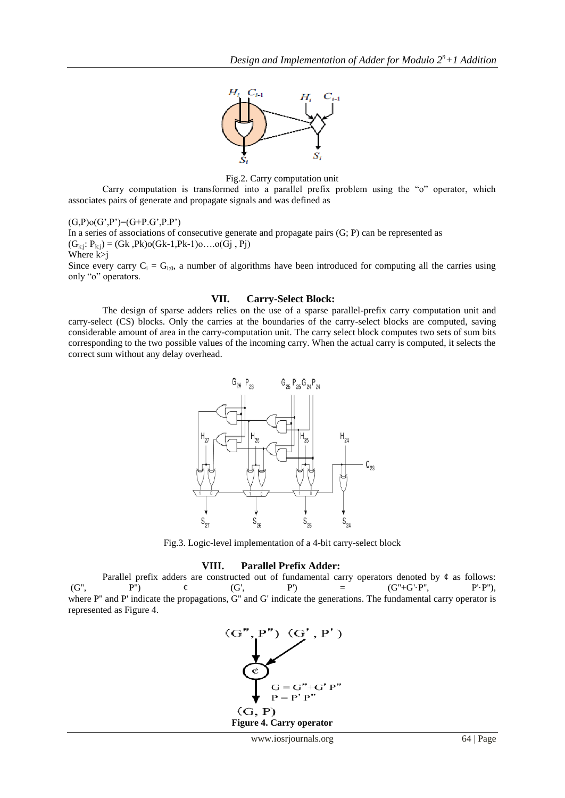

Fig.2. Carry computation unit

Carry computation is transformed into a parallel prefix problem using the "o" operator, which associates pairs of generate and propagate signals and was defined as

 $(G,P)$ o $(G',P')=(G+P.G',P.P')$ 

In a series of associations of consecutive generate and propagate pairs  $(G; P)$  can be represented as  $(G_{k:i}: P_{k:j}) = (Gk, PK) o(Gk-1, PK-1) o… o(Gj, Pj)$ Where k>j

Since every carry  $C_i = G_{i,0}$ , a number of algorithms have been introduced for computing all the carries using only "o" operators.

#### **VII. Carry-Select Block:**

The design of sparse adders relies on the use of a sparse parallel-prefix carry computation unit and carry-select (CS) blocks. Only the carries at the boundaries of the carry-select blocks are computed, saving considerable amount of area in the carry-computation unit. The carry select block computes two sets of sum bits corresponding to the two possible values of the incoming carry. When the actual carry is computed, it selects the correct sum without any delay overhead.



Fig.3. Logic-level implementation of a 4-bit carry-select block

#### **VIII. Parallel Prefix Adder:**

Parallel prefix adders are constructed out of fundamental carry operators denoted by  $\phi$  as follows:  $(G''$ , P'')  $\phi$   $(G'$ , P'') =  $(G'' + G' \cdot P'', P' \cdot P'')$ , where P" and P' indicate the propagations, G" and G' indicate the generations. The fundamental carry operator is represented as Figure 4.

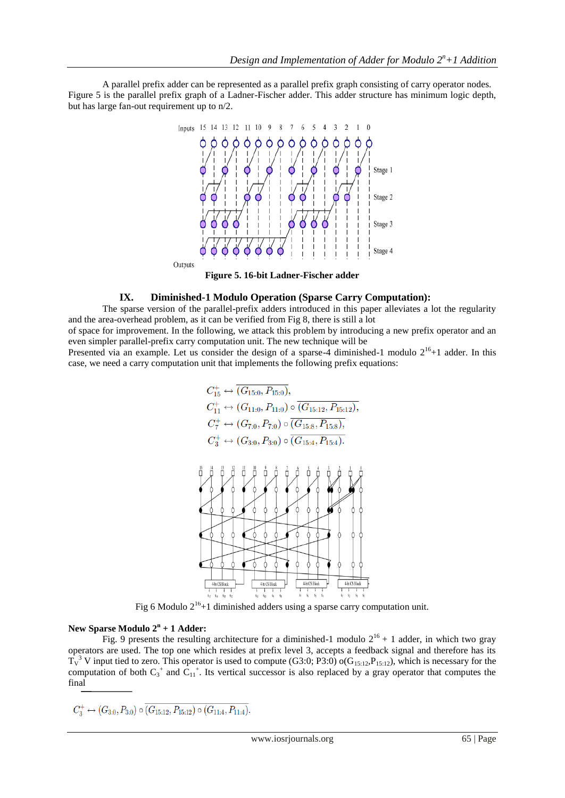A parallel prefix adder can be represented as a parallel prefix graph consisting of carry operator nodes. Figure 5 is the parallel prefix graph of a Ladner-Fischer adder. This adder structure has minimum logic depth, but has large fan-out requirement up to n/2.



**Figure 5. 16-bit Ladner-Fischer adder**

## **IX. Diminished-1 Modulo Operation (Sparse Carry Computation):**

The sparse version of the parallel-prefix adders introduced in this paper alleviates a lot the regularity and the area-overhead problem, as it can be verified from Fig 8, there is still a lot

of space for improvement. In the following, we attack this problem by introducing a new prefix operator and an even simpler parallel-prefix carry computation unit. The new technique will be

Presented via an example. Let us consider the design of a sparse-4 diminished-1 modulo  $2^{16}+1$  adder. In this case, we need a carry computation unit that implements the following prefix equations:

$$
C_{15}^{+} \leftrightarrow \overline{(G_{15:0}, P_{15:0})},
$$
  
\n
$$
C_{11}^{+} \leftrightarrow (G_{11:0}, P_{11:0}) \circ \overline{(G_{15:12}, P_{15:12})},
$$
  
\n
$$
C_{7}^{+} \leftrightarrow (G_{7:0}, P_{7:0}) \circ \overline{(G_{15:8}, P_{15:8})},
$$
  
\n
$$
C_{3}^{+} \leftrightarrow (G_{3:0}, P_{3:0}) \circ \overline{(G_{15:4}, P_{15:4})}.
$$



Fig 6 Modulo  $2^{16}+1$  diminished adders using a sparse carry computation unit.

#### **New Sparse Modulo 2<sup>n</sup> + 1 Adder:**

Fig. 9 presents the resulting architecture for a diminished-1 modulo  $2^{16} + 1$  adder, in which two gray operators are used. The top one which resides at prefix level 3, accepts a feedback signal and therefore has its  $T_V^3$  V input tied to zero. This operator is used to compute (G3:0; P3:0) o(G<sub>15:12</sub>, P<sub>15:12</sub>), which is necessary for the computation of both  $C_3^+$  and  $C_{11}^+$ . Its vertical successor is also replaced by a gray operator that computes the final

$$
C_3^+ \leftrightarrow (G_{3:0}, P_{3:0}) \circ \overline{(G_{15:12}, P_{15:12}) \circ (G_{11:4}, P_{11:4})}.
$$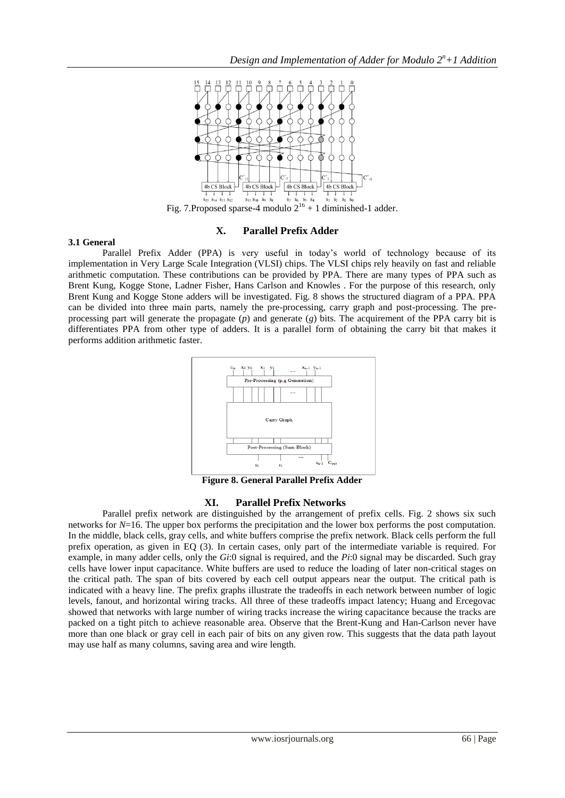

Fig. 7.Proposed sparse-4 modulo  $2^{16} + 1$  diminished-1 adder.

# **X. Parallel Prefix Adder**

## **3.1 General**

Parallel Prefix Adder (PPA) is very useful in today's world of technology because of its implementation in Very Large Scale Integration (VLSI) chips. The VLSI chips rely heavily on fast and reliable arithmetic computation. These contributions can be provided by PPA. There are many types of PPA such as Brent Kung, Kogge Stone, Ladner Fisher, Hans Carlson and Knowles . For the purpose of this research, only Brent Kung and Kogge Stone adders will be investigated. Fig. 8 shows the structured diagram of a PPA. PPA can be divided into three main parts, namely the pre-processing, carry graph and post-processing. The preprocessing part will generate the propagate (*p*) and generate (*g*) bits. The acquirement of the PPA carry bit is differentiates PPA from other type of adders. It is a parallel form of obtaining the carry bit that makes it performs addition arithmetic faster.



**Figure 8. General Parallel Prefix Adder**

# **XI. Parallel Prefix Networks**

Parallel prefix network are distinguished by the arrangement of prefix cells. Fig. 2 shows six such networks for *N*=16. The upper box performs the precipitation and the lower box performs the post computation. In the middle, black cells, gray cells, and white buffers comprise the prefix network. Black cells perform the full prefix operation, as given in EQ (3). In certain cases, only part of the intermediate variable is required. For example, in many adder cells, only the *Gi*:0 signal is required, and the *Pi*:0 signal may be discarded. Such gray cells have lower input capacitance. White buffers are used to reduce the loading of later non-critical stages on the critical path. The span of bits covered by each cell output appears near the output. The critical path is indicated with a heavy line. The prefix graphs illustrate the tradeoffs in each network between number of logic levels, fanout, and horizontal wiring tracks. All three of these tradeoffs impact latency; Huang and Ercegovac showed that networks with large number of wiring tracks increase the wiring capacitance because the tracks are packed on a tight pitch to achieve reasonable area. Observe that the Brent-Kung and Han-Carlson never have more than one black or gray cell in each pair of bits on any given row. This suggests that the data path layout may use half as many columns, saving area and wire length.